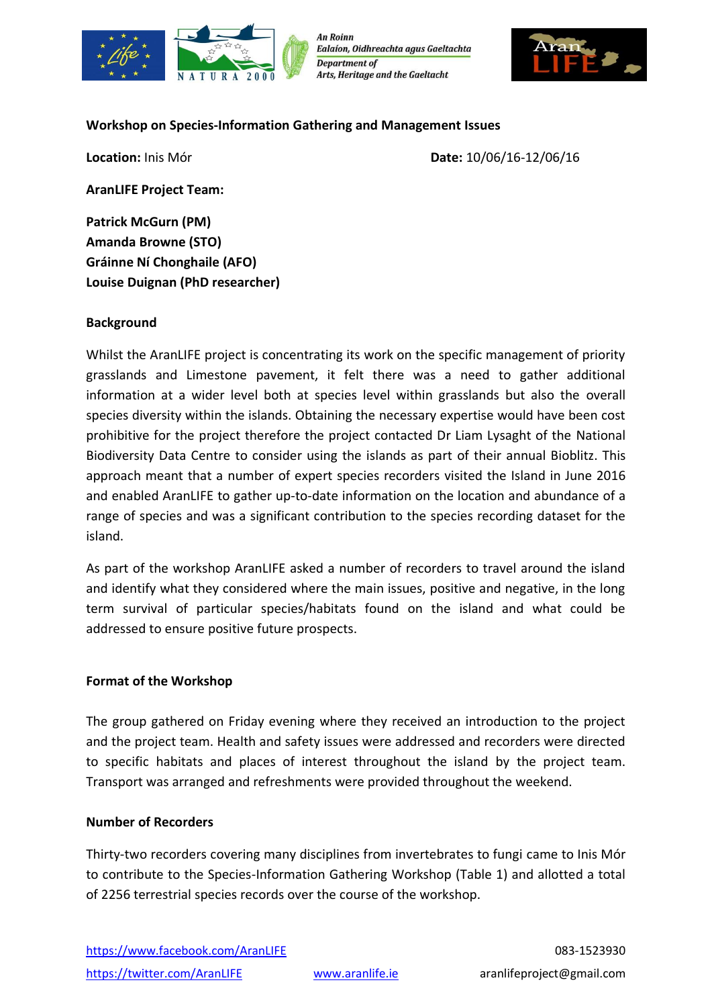

**An Roinn** Ealaíon, Oidhreachta agus Gaeltachta **Department of Arts, Heritage and the Gaeltacht** 



### **Workshop on Species-Information Gathering and Management Issues**

**Location:** Inis Mór **Date:** 10/06/16-12/06/16

**AranLIFE Project Team:**

**Patrick McGurn (PM) Amanda Browne (STO) Gráinne Ní Chonghaile (AFO) Louise Duignan (PhD researcher)**

### **Background**

Whilst the AranLIFE project is concentrating its work on the specific management of priority grasslands and Limestone pavement, it felt there was a need to gather additional information at a wider level both at species level within grasslands but also the overall species diversity within the islands. Obtaining the necessary expertise would have been cost prohibitive for the project therefore the project contacted Dr Liam Lysaght of the National Biodiversity Data Centre to consider using the islands as part of their annual Bioblitz. This approach meant that a number of expert species recorders visited the Island in June 2016 and enabled AranLIFE to gather up-to-date information on the location and abundance of a range of species and was a significant contribution to the species recording dataset for the island.

As part of the workshop AranLIFE asked a number of recorders to travel around the island and identify what they considered where the main issues, positive and negative, in the long term survival of particular species/habitats found on the island and what could be addressed to ensure positive future prospects.

### **Format of the Workshop**

The group gathered on Friday evening where they received an introduction to the project and the project team. Health and safety issues were addressed and recorders were directed to specific habitats and places of interest throughout the island by the project team. Transport was arranged and refreshments were provided throughout the weekend.

### **Number of Recorders**

Thirty-two recorders covering many disciplines from invertebrates to fungi came to Inis Mór to contribute to the Species-Information Gathering Workshop (Table 1) and allotted a total of 2256 terrestrial species records over the course of the workshop.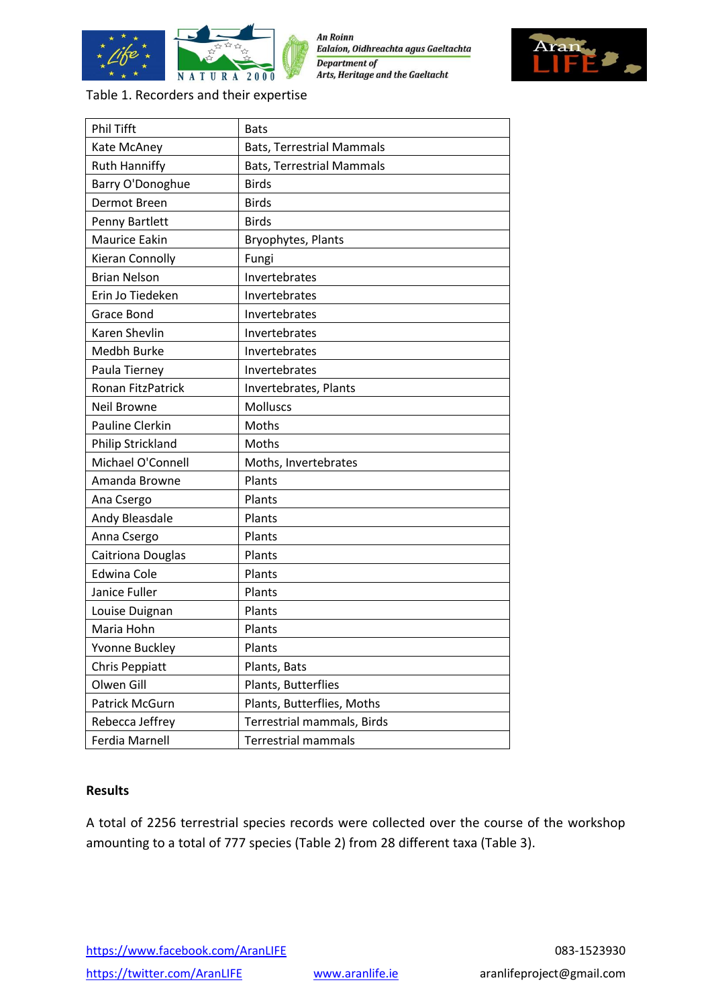

**An Roinn** Ealaíon, Oidhreachta agus Gaeltachta **Department of** Arts, Heritage and the Gaeltacht



Table 1. Recorders and their expertise

| <b>Phil Tifft</b>        | <b>Bats</b>                      |  |  |
|--------------------------|----------------------------------|--|--|
| Kate McAney              | <b>Bats, Terrestrial Mammals</b> |  |  |
| <b>Ruth Hanniffy</b>     | <b>Bats, Terrestrial Mammals</b> |  |  |
| Barry O'Donoghue         | <b>Birds</b>                     |  |  |
| Dermot Breen             | <b>Birds</b>                     |  |  |
| Penny Bartlett           | <b>Birds</b>                     |  |  |
| Maurice Eakin            | Bryophytes, Plants               |  |  |
| Kieran Connolly          | Fungi                            |  |  |
| <b>Brian Nelson</b>      | Invertebrates                    |  |  |
| Erin Jo Tiedeken         | Invertebrates                    |  |  |
| Grace Bond               | Invertebrates                    |  |  |
| Karen Shevlin            | Invertebrates                    |  |  |
| Medbh Burke              | Invertebrates                    |  |  |
| Paula Tierney            | Invertebrates                    |  |  |
| <b>Ronan FitzPatrick</b> | Invertebrates, Plants            |  |  |
| <b>Neil Browne</b>       | <b>Molluscs</b>                  |  |  |
| <b>Pauline Clerkin</b>   | Moths                            |  |  |
| <b>Philip Strickland</b> | Moths                            |  |  |
| Michael O'Connell        | Moths, Invertebrates             |  |  |
| Amanda Browne            | Plants                           |  |  |
| Ana Csergo               | Plants                           |  |  |
| Andy Bleasdale           | Plants                           |  |  |
| Anna Csergo              | Plants                           |  |  |
| Caitriona Douglas        | Plants                           |  |  |
| <b>Edwina Cole</b>       | Plants                           |  |  |
| Janice Fuller            | Plants                           |  |  |
| Louise Duignan           | Plants                           |  |  |
| Maria Hohn               | Plants                           |  |  |
| Yvonne Buckley           | Plants                           |  |  |
| Chris Peppiatt           | Plants, Bats                     |  |  |
| Olwen Gill               | Plants, Butterflies              |  |  |
| Patrick McGurn           | Plants, Butterflies, Moths       |  |  |
| Rebecca Jeffrey          | Terrestrial mammals, Birds       |  |  |
| Ferdia Marnell           | <b>Terrestrial mammals</b>       |  |  |

### **Results**

A total of 2256 terrestrial species records were collected over the course of the workshop amounting to a total of 777 species (Table 2) from 28 different taxa (Table 3).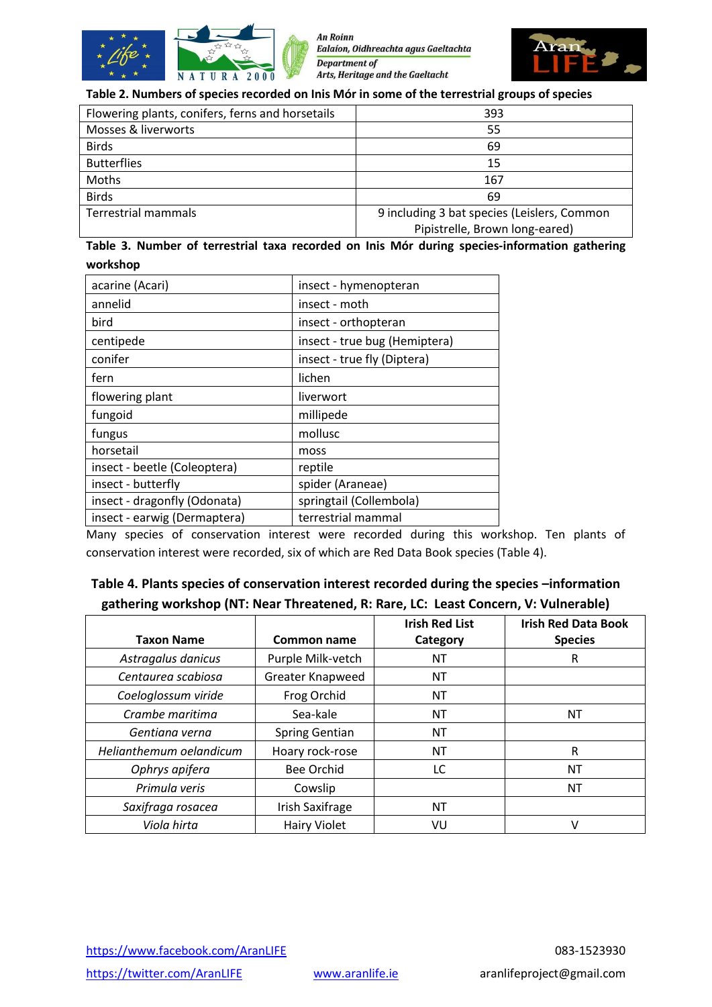

An Roinn Ealaíon, Oidhreachta agus Gaeltachta **Department of** Arts, Heritage and the Gaeltacht



#### **Table 2. Numbers of species recorded on Inis Mór in some of the terrestrial groups of species**

| Flowering plants, conifers, ferns and horsetails | 393                                         |  |
|--------------------------------------------------|---------------------------------------------|--|
| Mosses & liverworts                              | 55                                          |  |
| <b>Birds</b>                                     | 69                                          |  |
| <b>Butterflies</b>                               | 15                                          |  |
| Moths                                            | 167                                         |  |
| <b>Birds</b>                                     | 69                                          |  |
| <b>Terrestrial mammals</b>                       | 9 including 3 bat species (Leislers, Common |  |
|                                                  | Pipistrelle, Brown long-eared)              |  |

### **Table 3. Number of terrestrial taxa recorded on Inis Mór during species-information gathering workshop**

| acarine (Acari)              | insect - hymenopteran         |  |
|------------------------------|-------------------------------|--|
| annelid                      | insect - moth                 |  |
| bird                         | insect - orthopteran          |  |
| centipede                    | insect - true bug (Hemiptera) |  |
| conifer                      | insect - true fly (Diptera)   |  |
| fern                         | lichen                        |  |
| flowering plant              | liverwort                     |  |
| fungoid                      | millipede                     |  |
| fungus                       | mollusc                       |  |
| horsetail                    | moss                          |  |
| insect - beetle (Coleoptera) | reptile                       |  |
| insect - butterfly           | spider (Araneae)              |  |
| insect - dragonfly (Odonata) | springtail (Collembola)       |  |
| insect - earwig (Dermaptera) | terrestrial mammal            |  |

Many species of conservation interest were recorded during this workshop. Ten plants of conservation interest were recorded, six of which are Red Data Book species (Table 4).

# **Table 4. Plants species of conservation interest recorded during the species –information gathering workshop (NT: Near Threatened, R: Rare, LC: Least Concern, V: Vulnerable)**

|                         |                        | <b>Irish Red List</b> | <b>Irish Red Data Book</b> |
|-------------------------|------------------------|-----------------------|----------------------------|
| <b>Taxon Name</b>       | Common name            | Category              | <b>Species</b>             |
| Astragalus danicus      | Purple Milk-vetch      | ΝT                    | R                          |
| Centaurea scabiosa      | Greater Knapweed       | NT                    |                            |
| Coeloglossum viride     | Frog Orchid            | ΝT                    |                            |
| Crambe maritima         | Sea-kale               | ΝT                    | ΝT                         |
| Gentiana verna          | <b>Spring Gentian</b>  | <b>NT</b>             |                            |
| Helianthemum oelandicum | Hoary rock-rose        | <b>NT</b>             | R                          |
| Ophrys apifera          | <b>Bee Orchid</b>      | LC.                   | ΝT                         |
| Primula veris           | Cowslip                |                       | NT                         |
| Saxifraga rosacea       | <b>Irish Saxifrage</b> | <b>NT</b>             |                            |
| Viola hirta             | <b>Hairy Violet</b>    | VU                    | V                          |

<https://www.facebook.com/AranLIFE> 083-1523930 <https://twitter.com/AranLIFE> [www.aranlife.ie](http://www.aranlife.ie/) aranlifeproject@gmail.com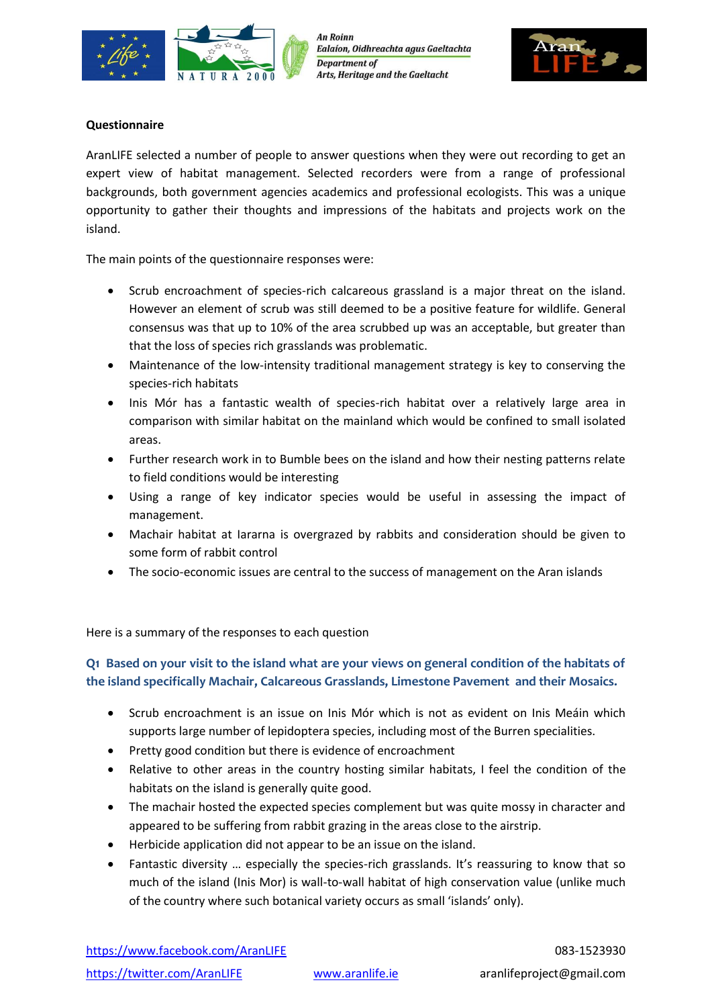



#### **Questionnaire**

AranLIFE selected a number of people to answer questions when they were out recording to get an expert view of habitat management. Selected recorders were from a range of professional backgrounds, both government agencies academics and professional ecologists. This was a unique opportunity to gather their thoughts and impressions of the habitats and projects work on the island.

The main points of the questionnaire responses were:

- Scrub encroachment of species-rich calcareous grassland is a major threat on the island. However an element of scrub was still deemed to be a positive feature for wildlife. General consensus was that up to 10% of the area scrubbed up was an acceptable, but greater than that the loss of species rich grasslands was problematic.
- Maintenance of the low-intensity traditional management strategy is key to conserving the species-rich habitats
- Inis Mór has a fantastic wealth of species-rich habitat over a relatively large area in comparison with similar habitat on the mainland which would be confined to small isolated areas.
- Further research work in to Bumble bees on the island and how their nesting patterns relate to field conditions would be interesting
- Using a range of key indicator species would be useful in assessing the impact of management.
- Machair habitat at Iararna is overgrazed by rabbits and consideration should be given to some form of rabbit control
- The socio-economic issues are central to the success of management on the Aran islands

Here is a summary of the responses to each question

## **Q1 Based on your visit to the island what are your views on general condition of the habitats of the island specifically Machair, Calcareous Grasslands, Limestone Pavement and their Mosaics.**

- Scrub encroachment is an issue on Inis Mór which is not as evident on Inis Meáin which supports large number of lepidoptera species, including most of the Burren specialities.
- Pretty good condition but there is evidence of encroachment
- Relative to other areas in the country hosting similar habitats, I feel the condition of the habitats on the island is generally quite good.
- The machair hosted the expected species complement but was quite mossy in character and appeared to be suffering from rabbit grazing in the areas close to the airstrip.
- Herbicide application did not appear to be an issue on the island.
- Fantastic diversity … especially the species-rich grasslands. It's reassuring to know that so much of the island (Inis Mor) is wall-to-wall habitat of high conservation value (unlike much of the country where such botanical variety occurs as small 'islands' only).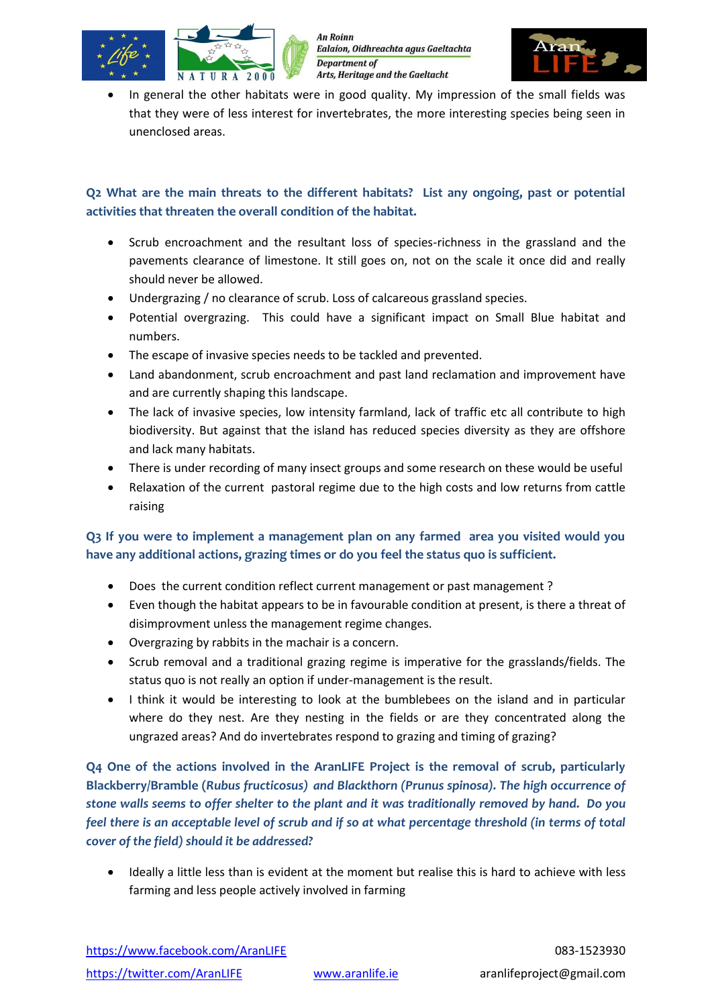



 In general the other habitats were in good quality. My impression of the small fields was that they were of less interest for invertebrates, the more interesting species being seen in unenclosed areas.

## **Q2 What are the main threats to the different habitats? List any ongoing, past or potential activities that threaten the overall condition of the habitat.**

- Scrub encroachment and the resultant loss of species-richness in the grassland and the pavements clearance of limestone. It still goes on, not on the scale it once did and really should never be allowed.
- Undergrazing / no clearance of scrub. Loss of calcareous grassland species.
- Potential overgrazing. This could have a significant impact on Small Blue habitat and numbers.
- The escape of invasive species needs to be tackled and prevented.
- Land abandonment, scrub encroachment and past land reclamation and improvement have and are currently shaping this landscape.
- The lack of invasive species, low intensity farmland, lack of traffic etc all contribute to high biodiversity. But against that the island has reduced species diversity as they are offshore and lack many habitats.
- There is under recording of many insect groups and some research on these would be useful
- Relaxation of the current pastoral regime due to the high costs and low returns from cattle raising

## **Q3 If you were to implement a management plan on any farmed area you visited would you have any additional actions, grazing times or do you feel the status quo is sufficient.**

- Does the current condition reflect current management or past management ?
- Even though the habitat appears to be in favourable condition at present, is there a threat of disimprovment unless the management regime changes.
- Overgrazing by rabbits in the machair is a concern.
- Scrub removal and a traditional grazing regime is imperative for the grasslands/fields. The status quo is not really an option if under-management is the result.
- I think it would be interesting to look at the bumblebees on the island and in particular where do they nest. Are they nesting in the fields or are they concentrated along the ungrazed areas? And do invertebrates respond to grazing and timing of grazing?

**Q4 One of the actions involved in the AranLIFE Project is the removal of scrub, particularly Blackberry/Bramble (***Rubus fructicosus) and Blackthorn (Prunus spinosa). The high occurrence of stone walls seems to offer shelter to the plant and it was traditionally removed by hand. Do you feel there is an acceptable level of scrub and if so at what percentage threshold (in terms of total cover of the field) should it be addressed?*

 Ideally a little less than is evident at the moment but realise this is hard to achieve with less farming and less people actively involved in farming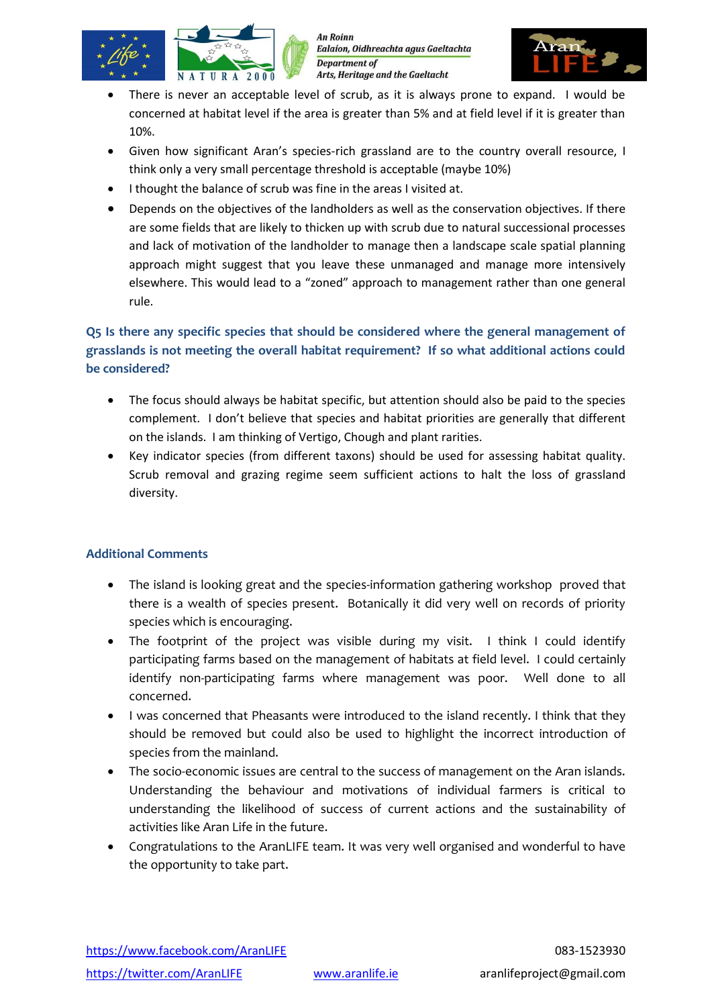



- There is never an acceptable level of scrub, as it is always prone to expand. I would be concerned at habitat level if the area is greater than 5% and at field level if it is greater than 10%.
- Given how significant Aran's species-rich grassland are to the country overall resource, I think only a very small percentage threshold is acceptable (maybe 10%)
- I thought the balance of scrub was fine in the areas I visited at.
- Depends on the objectives of the landholders as well as the conservation objectives. If there are some fields that are likely to thicken up with scrub due to natural successional processes and lack of motivation of the landholder to manage then a landscape scale spatial planning approach might suggest that you leave these unmanaged and manage more intensively elsewhere. This would lead to a "zoned" approach to management rather than one general rule.

# **Q5 Is there any specific species that should be considered where the general management of grasslands is not meeting the overall habitat requirement? If so what additional actions could be considered?**

- The focus should always be habitat specific, but attention should also be paid to the species complement. I don't believe that species and habitat priorities are generally that different on the islands. I am thinking of Vertigo, Chough and plant rarities.
- Key indicator species (from different taxons) should be used for assessing habitat quality. Scrub removal and grazing regime seem sufficient actions to halt the loss of grassland diversity.

### **Additional Comments**

- The island is looking great and the species-information gathering workshop proved that there is a wealth of species present. Botanically it did very well on records of priority species which is encouraging.
- The footprint of the project was visible during my visit. I think I could identify participating farms based on the management of habitats at field level. I could certainly identify non-participating farms where management was poor. Well done to all concerned.
- I was concerned that Pheasants were introduced to the island recently. I think that they should be removed but could also be used to highlight the incorrect introduction of species from the mainland.
- The socio-economic issues are central to the success of management on the Aran islands. Understanding the behaviour and motivations of individual farmers is critical to understanding the likelihood of success of current actions and the sustainability of activities like Aran Life in the future.
- Congratulations to the AranLIFE team. It was very well organised and wonderful to have the opportunity to take part.